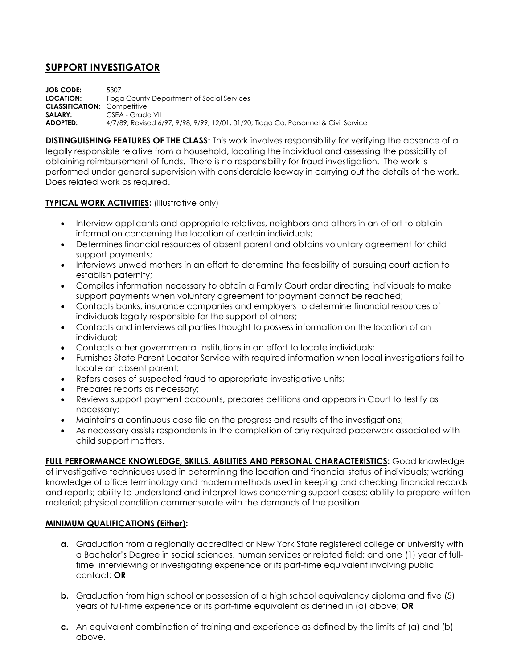## **SUPPORT INVESTIGATOR**

**JOB CODE:** 5307 **LOCATION:** Tioga County Department of Social Services **CLASSIFICATION:** Competitive SALARY: CSEA - Grade VII **ADOPTED:** 4/7/89; Revised 6/97, 9/98, 9/99, 12/01, 01/20; Tioga Co. Personnel & Civil Service

**DISTINGUISHING FEATURES OF THE CLASS:** This work involves responsibility for verifying the absence of a legally responsible relative from a household, locating the individual and assessing the possibility of obtaining reimbursement of funds. There is no responsibility for fraud investigation. The work is performed under general supervision with considerable leeway in carrying out the details of the work. Does related work as required.

## **TYPICAL WORK ACTIVITIES:** (Illustrative only)

- Interview applicants and appropriate relatives, neighbors and others in an effort to obtain information concerning the location of certain individuals;
- Determines financial resources of absent parent and obtains voluntary agreement for child support payments;
- Interviews unwed mothers in an effort to determine the feasibility of pursuing court action to establish paternity;
- Compiles information necessary to obtain a Family Court order directing individuals to make support payments when voluntary agreement for payment cannot be reached;
- Contacts banks, insurance companies and employers to determine financial resources of individuals legally responsible for the support of others;
- Contacts and interviews all parties thought to possess information on the location of an individual;
- Contacts other governmental institutions in an effort to locate individuals;
- Furnishes State Parent Locator Service with required information when local investigations fail to locate an absent parent;
- Refers cases of suspected fraud to appropriate investigative units;
- Prepares reports as necessary;
- Reviews support payment accounts, prepares petitions and appears in Court to testify as necessary;
- Maintains a continuous case file on the progress and results of the investigations;
- As necessary assists respondents in the completion of any required paperwork associated with child support matters.

**FULL PERFORMANCE KNOWLEDGE, SKILLS, ABILITIES AND PERSONAL CHARACTERISTICS:** Good knowledge of investigative techniques used in determining the location and financial status of individuals; working knowledge of office terminology and modern methods used in keeping and checking financial records and reports; ability to understand and interpret laws concerning support cases; ability to prepare written material; physical condition commensurate with the demands of the position.

## **MINIMUM QUALIFICATIONS (Either):**

- **a.** Graduation from a regionally accredited or New York State registered college or university with a Bachelor's Degree in social sciences, human services or related field; and one (1) year of fulltime interviewing or investigating experience or its part-time equivalent involving public contact; **OR**
- **b.** Graduation from high school or possession of a high school equivalency diploma and five (5) years of full-time experience or its part-time equivalent as defined in (a) above; **OR**
- **c.** An equivalent combination of training and experience as defined by the limits of (a) and (b) above.